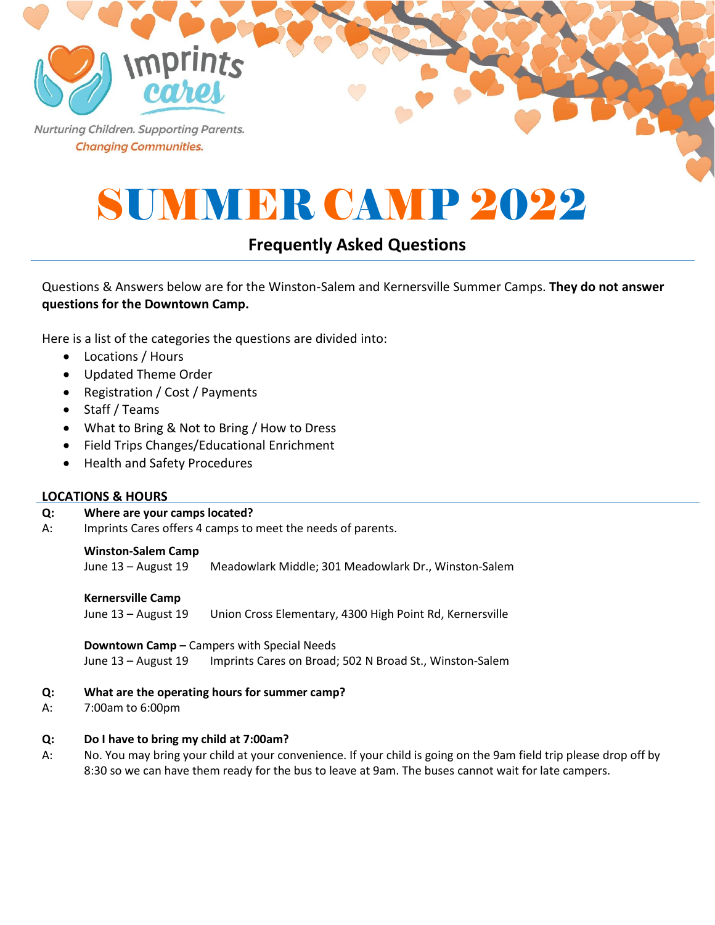Nurturing Children. Supporting Parents. **Changing Communities.** 

*Imprints* 

# SUMMER CAMP 2022

## **Frequently Asked Questions**

## Questions & Answers below are for the Winston-Salem and Kernersville Summer Camps. **They do not answer questions for the Downtown Camp.**

Here is a list of the categories the questions are divided into:

- Locations / Hours
- Updated Theme Order
- Registration / Cost / Payments
- Staff / Teams
- What to Bring & Not to Bring / How to Dress
- Field Trips Changes/Educational Enrichment
- Health and Safety Procedures

#### **LOCATIONS & HOURS**

#### **Q: Where are your camps located?**

A: Imprints Cares offers 4 camps to meet the needs of parents.

#### **Winston-Salem Camp**

June 13 – August 19 Meadowlark Middle; 301 Meadowlark Dr., Winston-Salem

#### **Kernersville Camp**

June 13 – August 19 Union Cross Elementary, 4300 High Point Rd, Kernersville

**Downtown Camp –** Campers with Special Needs June 13 - August 19 Imprints Cares on Broad; 502 N Broad St., Winston-Salem

#### **Q: What are the operating hours for summer camp?**

A: 7:00am to 6:00pm

#### **Q: Do I have to bring my child at 7:00am?**

A: No. You may bring your child at your convenience. If your child is going on the 9am field trip please drop off by 8:30 so we can have them ready for the bus to leave at 9am. The buses cannot wait for late campers.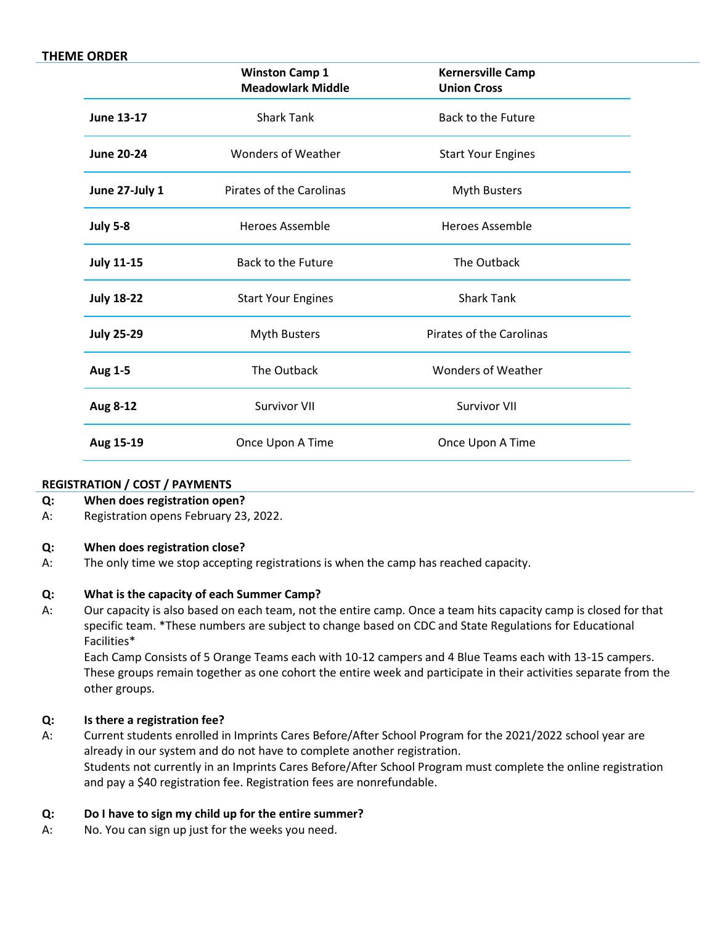#### **THEME ORDER**

|                   | <b>Winston Camp 1</b><br><b>Meadowlark Middle</b> | <b>Kernersville Camp</b><br><b>Union Cross</b> |  |
|-------------------|---------------------------------------------------|------------------------------------------------|--|
| <b>June 13-17</b> | <b>Shark Tank</b>                                 | <b>Back to the Future</b>                      |  |
| <b>June 20-24</b> | <b>Wonders of Weather</b>                         | <b>Start Your Engines</b>                      |  |
| June 27-July 1    | Pirates of the Carolinas                          | <b>Myth Busters</b>                            |  |
| <b>July 5-8</b>   | <b>Heroes Assemble</b>                            | Heroes Assemble                                |  |
| <b>July 11-15</b> | Back to the Future                                | The Outback                                    |  |
| <b>July 18-22</b> | <b>Start Your Engines</b>                         | <b>Shark Tank</b>                              |  |
| <b>July 25-29</b> | <b>Myth Busters</b>                               | <b>Pirates of the Carolinas</b>                |  |
| Aug 1-5           | The Outback                                       | Wonders of Weather                             |  |
| Aug 8-12          | <b>Survivor VII</b>                               | <b>Survivor VII</b>                            |  |
| Aug 15-19         | Once Upon A Time                                  | Once Upon A Time                               |  |
|                   |                                                   |                                                |  |

#### **REGISTRATION / COST / PAYMENTS**

#### **Q: When does registration open?**

A: Registration opens February 23, 2022.

#### **Q: When does registration close?**

A: The only time we stop accepting registrations is when the camp has reached capacity.

#### **Q: What is the capacity of each Summer Camp?**

A: Our capacity is also based on each team, not the entire camp. Once a team hits capacity camp is closed for that specific team. \*These numbers are subject to change based on CDC and State Regulations for Educational Facilities\*

Each Camp Consists of 5 Orange Teams each with 10-12 campers and 4 Blue Teams each with 13-15 campers. These groups remain together as one cohort the entire week and participate in their activities separate from the other groups.

#### **Q: Is there a registration fee?**

A: Current students enrolled in Imprints Cares Before/After School Program for the 2021/2022 school year are already in our system and do not have to complete another registration. Students not currently in an Imprints Cares Before/After School Program must complete the online registration and pay a \$40 registration fee. Registration fees are nonrefundable.

#### **Q: Do I have to sign my child up for the entire summer?**

A: No. You can sign up just for the weeks you need.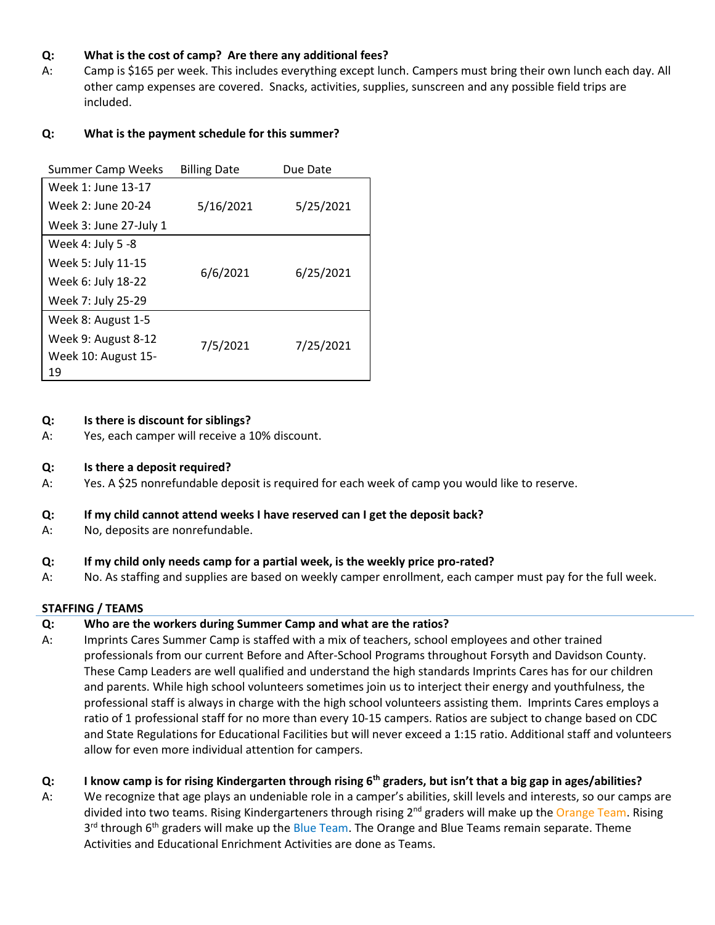#### **Q: What is the cost of camp? Are there any additional fees?**

A: Camp is \$165 per week. This includes everything except lunch. Campers must bring their own lunch each day. All other camp expenses are covered. Snacks, activities, supplies, sunscreen and any possible field trips are included.

#### **Q: What is the payment schedule for this summer?**

| <b>Summer Camp Weeks</b> | <b>Billing Date</b> | Due Date  |  |
|--------------------------|---------------------|-----------|--|
| Week 1: June 13-17       |                     |           |  |
| Week 2: June 20-24       | 5/16/2021           | 5/25/2021 |  |
| Week 3: June 27-July 1   |                     |           |  |
| Week 4: July 5 -8        |                     |           |  |
| Week 5: July 11-15       | 6/6/2021            | 6/25/2021 |  |
| Week 6: July 18-22       |                     |           |  |
| Week 7: July 25-29       |                     |           |  |
| Week 8: August 1-5       |                     |           |  |
| Week 9: August 8-12      | 7/5/2021            | 7/25/2021 |  |
| Week 10: August 15-      |                     |           |  |
| 19                       |                     |           |  |

#### **Q: Is there is discount for siblings?**

A: Yes, each camper will receive a 10% discount.

#### **Q: Is there a deposit required?**

A: Yes. A \$25 nonrefundable deposit is required for each week of camp you would like to reserve.

#### **Q: If my child cannot attend weeks I have reserved can I get the deposit back?**

A: No, deposits are nonrefundable.

#### **Q: If my child only needs camp for a partial week, is the weekly price pro-rated?**

A: No. As staffing and supplies are based on weekly camper enrollment, each camper must pay for the full week.

#### **STAFFING / TEAMS**

#### **Q: Who are the workers during Summer Camp and what are the ratios?**

A: Imprints Cares Summer Camp is staffed with a mix of teachers, school employees and other trained professionals from our current Before and After-School Programs throughout Forsyth and Davidson County. These Camp Leaders are well qualified and understand the high standards Imprints Cares has for our children and parents. While high school volunteers sometimes join us to interject their energy and youthfulness, the professional staff is always in charge with the high school volunteers assisting them. Imprints Cares employs a ratio of 1 professional staff for no more than every 10-15 campers. Ratios are subject to change based on CDC and State Regulations for Educational Facilities but will never exceed a 1:15 ratio. Additional staff and volunteers allow for even more individual attention for campers.

#### **Q: I know camp is for rising Kindergarten through rising 6th graders, but isn't that a big gap in ages/abilities?**

A: We recognize that age plays an undeniable role in a camper's abilities, skill levels and interests, so our camps are divided into two teams. Rising Kindergarteners through rising 2<sup>nd</sup> graders will make up the Orange Team. Rising 3<sup>rd</sup> through 6<sup>th</sup> graders will make up the Blue Team. The Orange and Blue Teams remain separate. Theme Activities and Educational Enrichment Activities are done as Teams.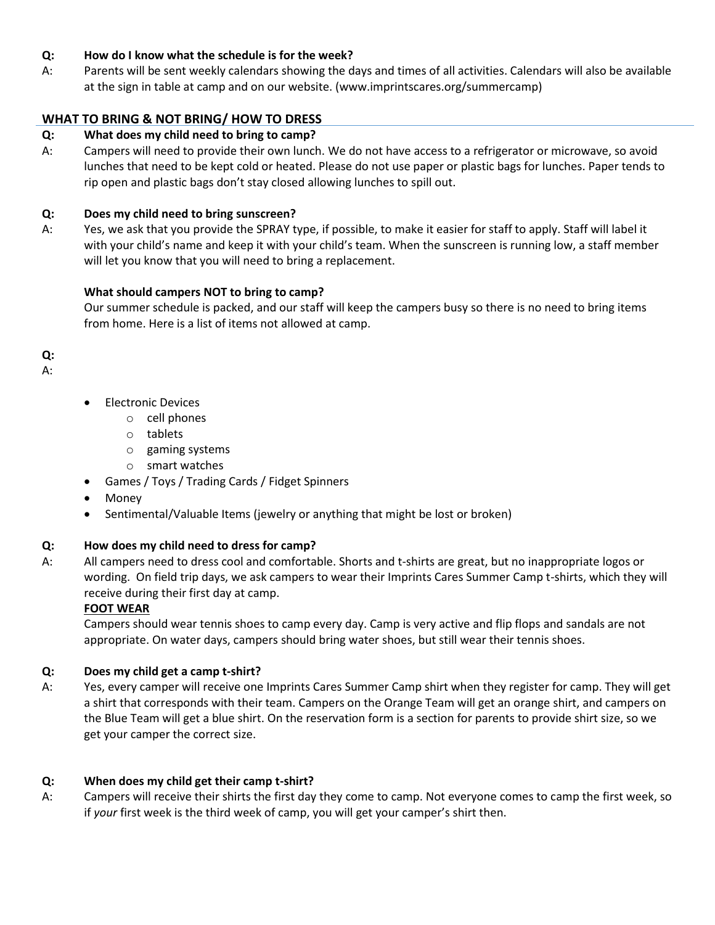#### **Q: How do I know what the schedule is for the week?**

A: Parents will be sent weekly calendars showing the days and times of all activities. Calendars will also be available at the sign in table at camp and on our website. (www.imprintscares.org/summercamp)

## **WHAT TO BRING & NOT BRING/ HOW TO DRESS**

#### **Q: What does my child need to bring to camp?**

A: Campers will need to provide their own lunch. We do not have access to a refrigerator or microwave, so avoid lunches that need to be kept cold or heated. Please do not use paper or plastic bags for lunches. Paper tends to rip open and plastic bags don't stay closed allowing lunches to spill out.

#### **Q: Does my child need to bring sunscreen?**

A: Yes, we ask that you provide the SPRAY type, if possible, to make it easier for staff to apply. Staff will label it with your child's name and keep it with your child's team. When the sunscreen is running low, a staff member will let you know that you will need to bring a replacement.

#### **What should campers NOT to bring to camp?**

Our summer schedule is packed, and our staff will keep the campers busy so there is no need to bring items from home. Here is a list of items not allowed at camp.

# **Q:**

A:

- Electronic Devices
	- o cell phones
	- o tablets
	- o gaming systems
	- o smart watches
- Games / Toys / Trading Cards / Fidget Spinners
- Money
- Sentimental/Valuable Items (jewelry or anything that might be lost or broken)

#### **Q: How does my child need to dress for camp?**

A: All campers need to dress cool and comfortable. Shorts and t-shirts are great, but no inappropriate logos or wording. On field trip days, we ask campers to wear their Imprints Cares Summer Camp t-shirts, which they will receive during their first day at camp.

#### **FOOT WEAR**

Campers should wear tennis shoes to camp every day. Camp is very active and flip flops and sandals are not appropriate. On water days, campers should bring water shoes, but still wear their tennis shoes.

#### **Q: Does my child get a camp t-shirt?**

A: Yes, every camper will receive one Imprints Cares Summer Camp shirt when they register for camp. They will get a shirt that corresponds with their team. Campers on the Orange Team will get an orange shirt, and campers on the Blue Team will get a blue shirt. On the reservation form is a section for parents to provide shirt size, so we get your camper the correct size.

#### **Q: When does my child get their camp t-shirt?**

A: Campers will receive their shirts the first day they come to camp. Not everyone comes to camp the first week, so if *your* first week is the third week of camp, you will get your camper's shirt then.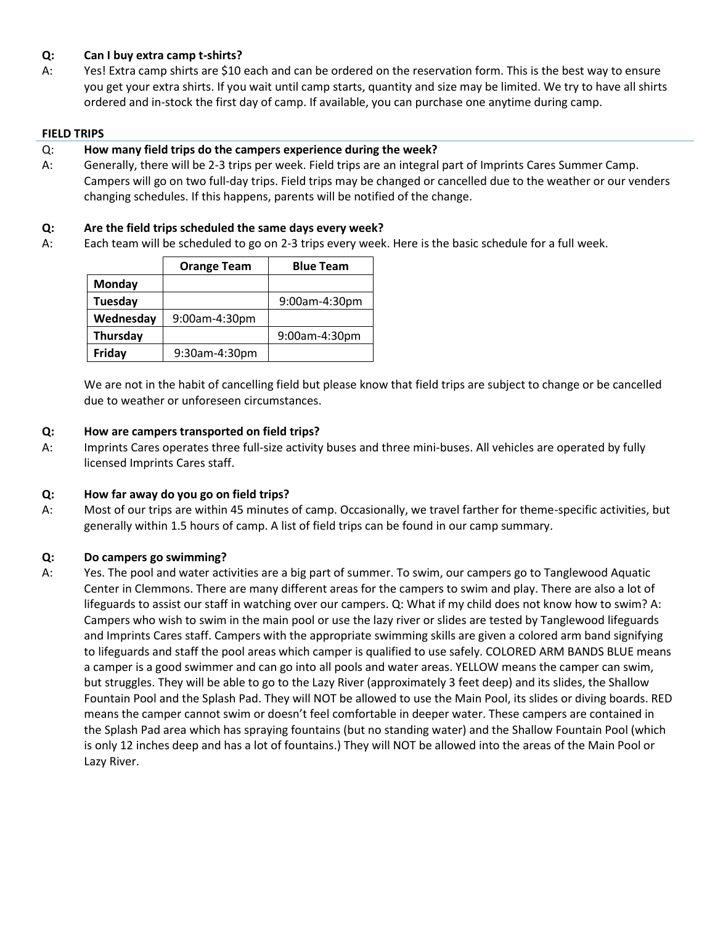#### **Q: Can I buy extra camp t-shirts?**

A: Yes! Extra camp shirts are \$10 each and can be ordered on the reservation form. This is the best way to ensure you get your extra shirts. If you wait until camp starts, quantity and size may be limited. We try to have all shirts ordered and in-stock the first day of camp. If available, you can purchase one anytime during camp.

#### **FIELD TRIPS**

#### Q: **How many field trips do the campers experience during the week?**

A: Generally, there will be 2-3 trips per week. Field trips are an integral part of Imprints Cares Summer Camp. Campers will go on two full-day trips. Field trips may be changed or cancelled due to the weather or our venders changing schedules. If this happens, parents will be notified of the change.

#### **Q: Are the field trips scheduled the same days every week?**

A: Each team will be scheduled to go on 2-3 trips every week. Here is the basic schedule for a full week.

|           | <b>Orange Team</b> | <b>Blue Team</b> |
|-----------|--------------------|------------------|
| Monday    |                    |                  |
| Tuesday   |                    | 9:00am-4:30pm    |
| Wednesday | 9:00am-4:30pm      |                  |
| Thursday  |                    | 9:00am-4:30pm    |
| Friday    | 9:30am-4:30pm      |                  |

We are not in the habit of cancelling field but please know that field trips are subject to change or be cancelled due to weather or unforeseen circumstances.

#### **Q: How are campers transported on field trips?**

A: Imprints Cares operates three full-size activity buses and three mini-buses. All vehicles are operated by fully licensed Imprints Cares staff.

#### **Q: How far away do you go on field trips?**

A: Most of our trips are within 45 minutes of camp. Occasionally, we travel farther for theme-specific activities, but generally within 1.5 hours of camp. A list of field trips can be found in our camp summary.

#### **Q: Do campers go swimming?**

A: Yes. The pool and water activities are a big part of summer. To swim, our campers go to Tanglewood Aquatic Center in Clemmons. There are many different areas for the campers to swim and play. There are also a lot of lifeguards to assist our staff in watching over our campers. Q: What if my child does not know how to swim? A: Campers who wish to swim in the main pool or use the lazy river or slides are tested by Tanglewood lifeguards and Imprints Cares staff. Campers with the appropriate swimming skills are given a colored arm band signifying to lifeguards and staff the pool areas which camper is qualified to use safely. COLORED ARM BANDS BLUE means a camper is a good swimmer and can go into all pools and water areas. YELLOW means the camper can swim, but struggles. They will be able to go to the Lazy River (approximately 3 feet deep) and its slides, the Shallow Fountain Pool and the Splash Pad. They will NOT be allowed to use the Main Pool, its slides or diving boards. RED means the camper cannot swim or doesn't feel comfortable in deeper water. These campers are contained in the Splash Pad area which has spraying fountains (but no standing water) and the Shallow Fountain Pool (which is only 12 inches deep and has a lot of fountains.) They will NOT be allowed into the areas of the Main Pool or Lazy River.